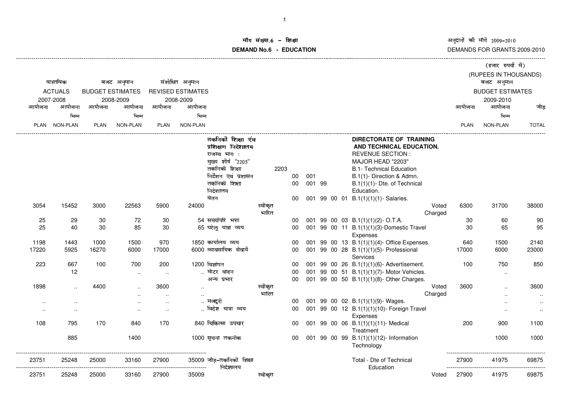# ॉग संख्या.6 -<br>WDMs C **DEMAND No.6 - EDUCATIONराक्षा संस्कृतिका संस्कृतिका संस्कृतिका संस्कृतिका संस्कृतिका संस्कृतिका संस्कृतिका संस्कृतिका संस्कृतिका संस्**

|             |                      |                         |                      |                      |                          |                          |                  |      |        |  |                                                       |                  |        | (हजार रुपयों में)       |                        |
|-------------|----------------------|-------------------------|----------------------|----------------------|--------------------------|--------------------------|------------------|------|--------|--|-------------------------------------------------------|------------------|--------|-------------------------|------------------------|
|             |                      |                         |                      |                      |                          |                          |                  |      |        |  |                                                       |                  |        | (RUPEES IN THOUSANDS)   |                        |
|             | वास्तविक             |                         | बजट अनुमान           |                      | संशोधित अनुमान           |                          |                  |      |        |  |                                                       |                  |        | बजट अनुमान              |                        |
|             | <b>ACTUALS</b>       | <b>BUDGET ESTIMATES</b> |                      |                      | <b>REVISED ESTIMATES</b> |                          |                  |      |        |  |                                                       |                  |        | <b>BUDGET ESTIMATES</b> |                        |
|             | 2007-2008            |                         | 2008-2009            |                      | 2008-2009                |                          |                  |      |        |  |                                                       |                  |        | 2009-2010               |                        |
| आयोजना      | आयोजना               | आयोजना                  | आयोजना               | आयोजना               | आयोजना                   |                          |                  |      |        |  |                                                       |                  | आयोजना | आयोजना                  | जोड़                   |
|             | भिन्न                |                         | भिन्न                |                      | भिन्न                    |                          |                  |      |        |  |                                                       |                  |        | भिन्न                   |                        |
| <b>PLAN</b> | <b>NON-PLAN</b>      | <b>PLAN</b>             | <b>NON-PLAN</b>      | <b>PLAN</b>          | NON-PLAN                 |                          |                  |      |        |  |                                                       |                  | PLAN   | NON-PLAN                | <b>TOTAL</b>           |
|             |                      |                         |                      |                      |                          |                          |                  |      |        |  |                                                       |                  |        |                         |                        |
|             |                      |                         |                      |                      |                          | तकनिकी शिक्षा एंव        |                  |      |        |  | DIRECTORATE OF TRAINING                               |                  |        |                         |                        |
|             |                      |                         |                      |                      |                          | प्रशिक्षण निदेशालय       |                  |      |        |  | AND TECHNICAL EDUCATION.                              |                  |        |                         |                        |
|             |                      |                         |                      |                      |                          | राजस्व भाग:              |                  |      |        |  | <b>REVENUE SECTION:</b>                               |                  |        |                         |                        |
|             |                      |                         |                      |                      |                          | मुख्य शीर्ष "2203"       |                  |      |        |  | MAJOR HEAD "2203"                                     |                  |        |                         |                        |
|             |                      |                         |                      |                      |                          | तकनिकी शिक्षा            |                  | 2203 |        |  | <b>B.1- Technical Education</b>                       |                  |        |                         |                        |
|             |                      |                         |                      |                      |                          | निर्देशन एवं प्रशासन     |                  | 00   | 001    |  | B.1(1)- Direction & Admn.                             |                  |        |                         |                        |
|             |                      |                         |                      |                      |                          | तकनिकी शिक्षा            |                  | 00   | 001 99 |  | B.1(1)(1)- Dte. of Technical                          |                  |        |                         |                        |
|             |                      |                         |                      |                      |                          | निदेशालय                 |                  |      |        |  | Education.                                            |                  |        |                         |                        |
|             |                      |                         |                      |                      |                          | वेतन                     |                  | 00   |        |  | 001 99 00 01 B.1(1)(1)(1)- Salaries.                  |                  |        |                         |                        |
| 3054        | 15452                | 3000                    | 22563                | 5900                 | 24000                    |                          | स्वीकृत<br>भारित |      |        |  |                                                       | Voted<br>Charged | 6300   | 31700                   | 38000                  |
| 25          | 29                   | 30                      | 72                   | 30                   |                          | 54 समयोपरि भत्ता         |                  | 00   |        |  | 001 99 00 03 B.1(1)(1)(2)-O.T.A.                      |                  | 30     | 60                      | 90                     |
| 25          | 40                   | 30                      | 85                   | 30                   |                          | 65 घरेलू यात्रा व्यय     |                  | 00   |        |  | 001 99 00 11 B.1(1)(1)(3)-Domestic Travel<br>Expenses |                  | 30     | 65                      | 95                     |
| 1198        | 1443                 | 1000                    | 1500                 | 970                  |                          | 1850 कार्यालय व्यय       |                  | 00   |        |  | 001 99 00 13 B.1(1)(1)(4)- Office Expenses.           |                  | 640    | 1500                    | 2140                   |
| 17220       | 5925                 | 16270                   | 6000                 | 17000                |                          | 6000 व्यावसायिक सेवायें  |                  | 00   |        |  | 001 99 00 28 B.1(1)(1)(5)- Professional<br>Services   |                  | 17000  | 6000                    | 23000                  |
| 223         | 667                  | 100                     | 700                  | 200                  |                          | 1200 विज्ञापन            |                  | 00   |        |  | 001 99 00 26 B.1(1)(1)(6)- Advertisement.             |                  | 100    | 750                     | 850                    |
|             | 12                   |                         | $\ddotsc$            | $\ddotsc$            |                          | मोटर वाहन                |                  | 00   |        |  | 001 99 00 51 B.1(1)(1)(7)- Motor Vehicles.            |                  |        | $\ddotsc$               |                        |
|             |                      |                         |                      |                      |                          | अन्य प्रभार              |                  | 00   |        |  | 001 99 00 50 B.1(1)(1)(8)- Other Charges.             |                  |        |                         |                        |
| 1898        | $\ddot{\phantom{a}}$ | 4400                    |                      | 3600                 |                          |                          | स्वीकृत<br>भारित |      |        |  |                                                       | Voted<br>Charged | 3600   |                         | 3600                   |
|             |                      |                         | $\ddot{\phantom{a}}$ | $\ddot{\phantom{a}}$ |                          | मजदरी                    |                  | 00   |        |  | 001 99 00 02 B.1(1)(1)(9)- Wages.                     |                  |        |                         | $\ddotsc$              |
| $\sim$      | $\ddotsc$            |                         | $\ddot{\phantom{a}}$ | $\ddotsc$            |                          | विदेश यात्रा व्यय        |                  | 00   |        |  | 001 99 00 12 B.1(1)(1)(10)- Foreign Travel            |                  |        |                         | $\cdot$ .<br>$\ddotsc$ |
| $\sim$      | $\ddotsc$            |                         | $\ddotsc$            | $\ddotsc$            |                          |                          |                  |      |        |  | Expenses                                              |                  |        | $\cdot$ .               |                        |
| 108         | 795                  | 170                     | 840                  | 170                  |                          | 840 चिकित्सा उपचार       |                  | 00   |        |  | 001 99 00 06 B.1(1)(1)(11)-Medical                    |                  | 200    | 900                     | 1100                   |
|             |                      |                         |                      |                      |                          |                          |                  |      |        |  | Treatment                                             |                  |        |                         |                        |
|             | 885                  |                         | 1400                 |                      |                          | 1000 सूचना तकनीक         |                  | 00   |        |  | 001 99 00 99 B.1(1)(1)(12)- Information<br>Technology |                  |        | 1000                    | 1000                   |
| 23751       | 25248                | 25000                   | 33160                | 27900                |                          | 35009 जोड़-तकनिकी शिक्षा |                  |      |        |  | Total - Dte of Technical                              |                  | 27900  | 41975                   | 69875                  |
|             |                      |                         |                      |                      |                          | निदेशालय                 |                  |      |        |  | Education                                             |                  |        |                         |                        |
| 23751       | 25248                | 25000                   | 33160                | 27900                | 35009                    |                          | स्वीकृत          |      |        |  |                                                       | Voted            | 27900  | 41975                   | 69875                  |
|             |                      |                         |                      |                      |                          |                          |                  |      |        |  |                                                       |                  |        |                         |                        |
|             |                      |                         |                      |                      |                          |                          |                  |      |        |  |                                                       |                  |        |                         |                        |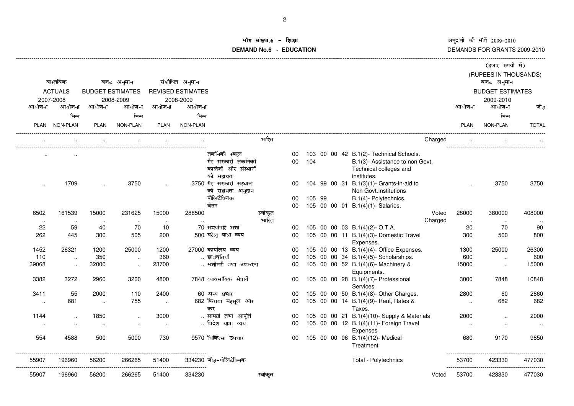# ॉग संख्या.6 – इि<br>'''''''''' **DEMAND No.6 - EDUCATIONशक्षा संस्कृतिका संस्कृतिका संस्कृतिका संस्कृतिका संस्कृतिका संस्कृतिका संस्कृतिका संस्कृतिका संस्कृति**

|                       | (हजार रुपयों में)       |                |         |                                                     |  |        |                  |                                          |                          |              |              |                         |                      |                        |
|-----------------------|-------------------------|----------------|---------|-----------------------------------------------------|--|--------|------------------|------------------------------------------|--------------------------|--------------|--------------|-------------------------|----------------------|------------------------|
|                       | (RUPEES IN THOUSANDS)   |                |         |                                                     |  |        |                  |                                          |                          |              |              |                         |                      |                        |
|                       | बजट अनुमान              |                |         |                                                     |  |        |                  |                                          | संशोधित अनुमान           |              | बजट अनुमान   |                         | वास्तविक             |                        |
|                       | <b>BUDGET ESTIMATES</b> |                |         |                                                     |  |        |                  |                                          | <b>REVISED ESTIMATES</b> |              |              | <b>BUDGET ESTIMATES</b> | <b>ACTUALS</b>       |                        |
|                       | 2009-2010               |                |         |                                                     |  |        |                  |                                          | 2008-2009                |              | 2008-2009    |                         | 2007-2008            |                        |
| जोड                   | आयोजना                  | आयोजना         |         |                                                     |  |        |                  |                                          | आयोजना                   | आयोजना       | आयोजना       | आयोजना                  | आयोजना               | आयोजना                 |
|                       | भिन्न                   |                |         |                                                     |  |        |                  |                                          | भिन्न                    |              | भिन्न        |                         | भिन्न                |                        |
| <b>TOTAL</b>          | NON-PLAN                | <b>PLAN</b>    |         |                                                     |  |        |                  |                                          | NON-PLAN                 | <b>PLAN</b>  | NON-PLAN     | <b>PLAN</b>             | PLAN NON-PLAN        |                        |
|                       |                         |                | Charged |                                                     |  |        | भारित            |                                          |                          |              |              |                         |                      |                        |
|                       |                         |                |         | 103 00 00 42 B.1(2)- Technical Schools.             |  |        | 00               | तकनिकी स्कूल                             |                          |              |              |                         |                      |                        |
|                       |                         |                |         | B.1(3)- Assistance to non Govt.                     |  | 104    | 00               | गैर सरकारी तकनिकी                        |                          |              |              |                         |                      |                        |
|                       |                         |                |         | Technical colleges and                              |  |        |                  | कालेजों और संस्थानों                     |                          |              |              |                         |                      |                        |
|                       |                         |                |         | institutes.                                         |  |        |                  | को सहायता                                |                          |              |              |                         |                      |                        |
| 3750                  | 3750                    |                |         | 104 99 00 31 B.1(3)(1)- Grants-in-aid to            |  |        | 00               | 3750 गैर सरकारी संस्थानों                |                          | $\ddotsc$    | 3750         | $\ddotsc$               | 1709                 | $\ddot{\phantom{a}}$ . |
|                       |                         |                |         | Non Govt. Institutions                              |  |        |                  | को सहायता अनुदान                         |                          |              |              |                         |                      |                        |
|                       |                         |                |         | B.1(4)- Polytechnics.                               |  | 105 99 | 00               | पोलिटेक्निक                              |                          |              |              |                         |                      |                        |
|                       |                         |                |         | 105 00 00 01 B.1(4)(1)- Salaries.                   |  |        | 00               | वेतन                                     |                          |              |              |                         |                      |                        |
| 408000                | 380000                  | 28000          | Voted   |                                                     |  |        | स्वीकृत<br>भारित |                                          | 288500                   | 15000        | 231625       | 15000                   | 161539               | 6502                   |
| $\ddotsc$<br>90       | $\sim$<br>70            | $\ldots$<br>20 | Charged | 105 00 00 03 B.1(4)(2)-O.T.A.                       |  |        | 00               | 70 समयोपरि भत्ता                         |                          | $\sim$<br>10 | $\sim$<br>70 | $\ddotsc$<br>40         | $\sim$<br>59         | $\sim$<br>22           |
| 800                   | 500                     | 300            |         | 105 00 00 11 B.1(4)(3)- Domestic Travel             |  |        | 00               | 500 घरेलू यात्रा व्यय                    |                          | 200          | 505          | 300                     | 445                  | 262                    |
|                       |                         |                |         | Expenses.                                           |  |        |                  |                                          |                          |              |              |                         |                      |                        |
| 26300                 | 25000                   | 1300           |         | 105 00 00 13 B.1(4)(4)- Office Expenses.            |  |        | 00               | 27000 कार्यालय व्यय                      |                          | 1200         | 25000        | 1200                    | 26321                | 1452                   |
| 600                   | $\ddotsc$               | 600            |         | 105 00 00 34 B.1(4)(5)- Scholarships.               |  |        | 00               | छात्रवृतियां                             |                          | 360          | $\ddotsc$    | 350                     | $\ddot{\phantom{a}}$ | 110                    |
| 15000                 | $\cdot$ .               | 15000          |         | 105 00 00 52 B.1(4)(6)- Machinery &<br>Equipments.  |  |        | 00               | मशीनरी तथा उपकरण                         |                          | 23700        | $\ddotsc$    | 32000                   | $\ddotsc$            | 39068                  |
| 10848                 | 7848                    | 3000           |         | 105 00 00 28 B.1(4)(7)- Professional<br>Services    |  |        | 00               | 7848 व्यावसायिक सेवायें                  |                          | 4800         | 3200         | 2960                    | 3272                 | 3382                   |
| 2860                  | 60                      | 2800           |         | 105 00 00 50 B.1(4)(8)- Other Charges.              |  |        | 00               | 60 अन्य प्रभार                           |                          | 2400         | 110          | 2000                    | 55                   | 3411                   |
| 682                   | 682                     | $\sim$         |         | 105 00 00 14 B.1(4)(9)- Rent, Rates &               |  |        | 00               | 682 किराया महसूल और                      |                          | $\ldots$     | 755          | $\ddotsc$               | 681                  | $\sim$                 |
|                       |                         |                |         | Taxes.                                              |  |        |                  | कर                                       |                          |              |              |                         |                      |                        |
| 2000                  | $\ddot{\phantom{a}}$    | 2000           |         | 105 00 00 21 B.1(4)(10)- Supply & Materials         |  |        | 00               | सामग्री तथा आपूर्ति<br>विदेश यात्रा व्यय |                          | 3000         | $\ldots$     | 1850                    | $\cdot$              | 1144                   |
| $\sim$                | $\cdot$ .               | $\cdot$ .      |         | 105 00 00 12 B.1(4)(11)- Foreign Travel<br>Expenses |  |        | 00               |                                          |                          |              | $\cdot$ .    |                         | $\ddot{\phantom{a}}$ | $\cdot$ .              |
| 9850                  | 9170                    | 680            |         | 105 00 00 06 B.1(4)(12)- Medical                    |  |        | 00               | 9570 चिकित्सा उपचार                      |                          | 730          | 5000         | 500                     | 4588                 | 554                    |
|                       |                         |                |         | Treatment                                           |  |        |                  |                                          |                          |              |              |                         |                      |                        |
| 477030                | 423330                  | 53700          |         | Total - Polytechnics                                |  |        |                  | 334230 जोड़-पोलिटेक्निक                  |                          | 51400        | 266265       | 56200                   | 196960               | 55907                  |
| -----------<br>477030 | 423330                  | 53700          | Voted   |                                                     |  |        | स्वीकृत          |                                          | 334230                   | 51400        | 266265       | 56200                   | 196960               | 55907                  |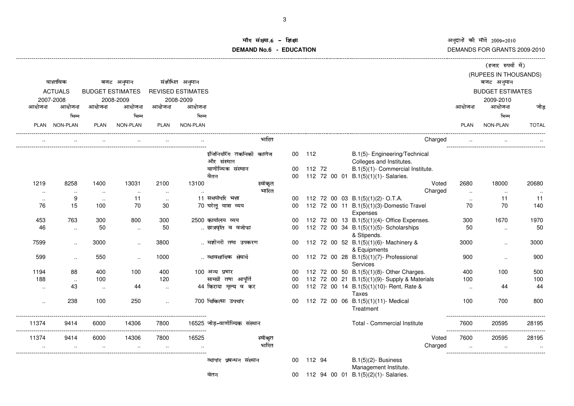# ॉग संख्या.6 – इि<br><u>WD Na Gaa</u>r **DEMAND No.6 - EDUCATION**शक्षा अन्वय**ा संस्था का संस्था करने के बाद में संस्था** करने के बाद में संस्था करने के अन्वयं का अन

|             |                |                      |                         |             |                          |                                        |         |                 |        |  |                                                                                           |                           | (हजार रुपयों में)       |              |
|-------------|----------------|----------------------|-------------------------|-------------|--------------------------|----------------------------------------|---------|-----------------|--------|--|-------------------------------------------------------------------------------------------|---------------------------|-------------------------|--------------|
|             |                |                      |                         |             |                          |                                        |         |                 |        |  |                                                                                           |                           | (RUPEES IN THOUSANDS)   |              |
|             | वास्तविक       |                      | बजट अनुमान              |             | संशोधित अनुमान           |                                        |         |                 |        |  |                                                                                           |                           | बजट अनुमान              |              |
|             | <b>ACTUALS</b> |                      | <b>BUDGET ESTIMATES</b> |             | <b>REVISED ESTIMATES</b> |                                        |         |                 |        |  |                                                                                           |                           | <b>BUDGET ESTIMATES</b> |              |
|             | 2007-2008      |                      | 2008-2009               |             | 2008-2009                |                                        |         |                 |        |  |                                                                                           |                           | 2009-2010               |              |
| आयोजना      | आयोजना         | आयोजना               | आयोजना                  | आयोजना      | आयोजना                   |                                        |         |                 |        |  |                                                                                           | आयोजना                    | आयोजना                  | जोड          |
|             | भिन्न          |                      | भिन्न                   |             | भिन्न                    |                                        |         |                 |        |  |                                                                                           |                           | भिन्न                   |              |
|             | PLAN NON-PLAN  | <b>PLAN</b>          | <b>NON-PLAN</b>         | <b>PLAN</b> | NON-PLAN                 |                                        |         |                 |        |  |                                                                                           | <b>PLAN</b>               | NON-PLAN                | <b>TOTAL</b> |
|             |                |                      |                         |             |                          |                                        | भारित   |                 |        |  | Charged                                                                                   |                           |                         |              |
|             |                |                      |                         |             |                          | इंजिनियरिंग तकनिकी कालेज               |         | 00              | 112    |  | B.1(5)- Engineering/Technical                                                             |                           |                         |              |
|             |                |                      |                         |             |                          | और संस्थान                             |         |                 |        |  | Colleges and Institutes.                                                                  |                           |                         |              |
|             |                |                      |                         |             |                          | वाणीज्यिक संस्थान                      |         | 00              | 112 72 |  | B.1(5)(1)- Commercial Institute.                                                          |                           |                         |              |
|             |                |                      |                         |             |                          | वेतन                                   |         | 00              |        |  | 112 72 00 01 B.1(5)(1)(1)-Salaries.                                                       |                           |                         |              |
| 1219        | 8258           | 1400                 | 13031                   | 2100        | 13100                    |                                        | स्वीकृत |                 |        |  | Voted                                                                                     | 2680                      | 18000                   | 20680        |
| $\sim$      | $\ddotsc$      | $\ddotsc$            | $\sim$                  | $\sim$      |                          |                                        | भारित   |                 |        |  | Charged                                                                                   | $\ddotsc$                 | $\ddotsc$               |              |
| $\ddotsc$   | 9              | $\ddot{\phantom{a}}$ | 11                      | $\ldots$    |                          | 11 समयोपरि भत्ता                       |         | 00              |        |  | 112 72 00 03 B.1(5)(1)(2)-O.T.A.                                                          | $\ddotsc$                 | 11                      | 11           |
| 76          | 15             | 100                  | 70                      | 30          |                          | 70 घरेलू यात्रा व्यय                   |         | 00 <sup>1</sup> |        |  | 112 72 00 11 B.1(5)(1)(3)-Domestic Travel<br><b>Expenses</b>                              | 70                        | 70                      | 140          |
| 453         | 763            | 300                  | 800                     | 300         |                          | 2500 कार्यालय व्यय                     |         | 00              |        |  | 112 72 00 13 B.1(5)(1)(4)- Office Expenses.                                               | 300                       | 1670                    | 1970         |
| 46          | $\ldots$       | 50                   | $\ddotsc$               | 50          |                          | छात्रवृति व वजीफा                      |         | 00              |        |  | 112 72 00 34 B.1(5)(1)(5)- Scholarships                                                   | 50                        | $\ldots$                | 50           |
|             |                |                      |                         |             |                          |                                        |         |                 |        |  | & Stipends.                                                                               |                           |                         |              |
| 7599        | $\ddotsc$      | 3000                 | $\ddotsc$               | 3800        |                          | मशीनरी तथा उपकरण                       |         | 00              |        |  | 112 72 00 52 B.1(5)(1)(6)- Machinery &                                                    | 3000                      | $\ddotsc$               | 3000         |
|             |                |                      |                         |             |                          |                                        |         |                 |        |  | & Equipments                                                                              |                           |                         |              |
| 599         | $\cdot$ .      | 550                  | $\cdot$ .               | 1000        |                          | व्यावसायिक सेवायेँ                     |         | $00 \,$         |        |  | 112 72 00 28 B.1(5)(1)(7)- Professional                                                   | 900                       | $\ldots$                | 900          |
|             |                |                      |                         |             |                          |                                        |         |                 |        |  | Services                                                                                  |                           |                         |              |
| 1194<br>188 | 88             | 400                  | 100                     | 400<br>120  |                          | 100 अन्य प्रभार<br>सामग्री तथा आपूर्ति |         | 00              |        |  | 112 72 00 50 B.1(5)(1)(8)- Other Charges.                                                 | 400                       | 100                     | 500<br>100   |
|             | $\sim$<br>43   | 100                  | 44                      |             |                          | 44 किराया मूल्य व कर                   |         | 00<br>00        |        |  | 112 72 00 21 B.1(5)(1)(9)- Supply & Materials<br>112 72 00 14 B.1(5)(1)(10)- Rent, Rate & | 100                       | 44                      | 44           |
| $\cdot$     |                | $\ldots$             |                         | $\sim$      |                          |                                        |         |                 |        |  | Taxes                                                                                     | $\ddotsc$                 |                         |              |
| $\cdot$ .   | 238            | 100                  | 250                     | $\ddotsc$   |                          | 700 चिकित्सा उपचार                     |         | $00 \,$         |        |  | 112 72 00 06 B.1(5)(1)(11)- Medical                                                       | 100                       | 700                     | 800          |
|             |                |                      |                         |             |                          |                                        |         |                 |        |  | Treatment                                                                                 |                           |                         |              |
| 11374       | 9414           | 6000                 | 14306                   | 7800        |                          | 16525 जोड़-वाणीज्यिक संस्थान           |         |                 |        |  | Total - Commercial Institute                                                              | 7600                      | 20595                   | 28195        |
| .<br>11374  | 9414           | 6000                 | 14306                   | 7800        | 16525                    |                                        | स्वीकत  |                 |        |  | Voted                                                                                     | -----------------<br>7600 | 20595                   | 28195        |
|             | $\cdot$        |                      | $\ddotsc$               | $\ddotsc$   |                          |                                        | भारित   |                 |        |  | Charged                                                                                   |                           |                         |              |
|             |                |                      |                         |             |                          | प्रबन्धन संस्थान                       |         |                 |        |  |                                                                                           |                           |                         |              |
|             |                |                      |                         |             |                          | व्यापार                                |         | 00              | 112 94 |  | $B.1(5)(2)$ - Business<br>Management Institute.                                           |                           |                         |              |
|             |                |                      |                         |             |                          | वेतन                                   |         | 00              |        |  | 112 94 00 01 B.1(5)(2)(1)- Salaries.                                                      |                           |                         |              |
|             |                |                      |                         |             |                          |                                        |         |                 |        |  |                                                                                           |                           |                         |              |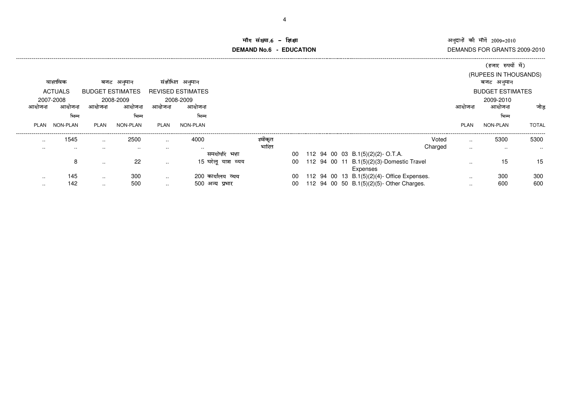#### ॉग संख्या.6 -<br>WDMs.6 **DEMAND No.6 - EDUCATIONman** and  $\alpha$  and  $\alpha$  and  $\alpha$  and  $\alpha$  and  $\alpha$  and  $\alpha$  and  $\alpha$

|             |                |                         |           |               |                          |         |    |  |                                                       |         |             | (हजार रुपयों में)       |              |
|-------------|----------------|-------------------------|-----------|---------------|--------------------------|---------|----|--|-------------------------------------------------------|---------|-------------|-------------------------|--------------|
|             |                |                         |           |               |                          |         |    |  |                                                       |         |             | (RUPEES IN THOUSANDS)   |              |
|             | वास्तविक       | बजट                     | अनुमान    |               | संशोधित अनुमान           |         |    |  |                                                       |         |             | बजट अनुमान              |              |
|             | <b>ACTUALS</b> | <b>BUDGET ESTIMATES</b> |           |               | <b>REVISED ESTIMATES</b> |         |    |  |                                                       |         |             | <b>BUDGET ESTIMATES</b> |              |
|             | 2007-2008      |                         | 2008-2009 |               | 2008-2009                |         |    |  |                                                       |         |             | 2009-2010               |              |
| आयाजन       | आयोजन          | आयोजना                  | आयोजना    | आयोजना        | आयोजना                   |         |    |  |                                                       |         | आयोजना      | आयोजना                  | जोड          |
|             | भिन्न          |                         | भिन्न     |               | भिन्न                    |         |    |  |                                                       |         |             | भिन्न                   |              |
| <b>PLAN</b> | NON-PLAN       | PLAN                    | NON-PLAN  | PLAN          | NON-PLAN                 |         |    |  |                                                       |         | <b>PLAN</b> | NON-PLAN                | <b>TOTAL</b> |
| $\sim$      | 1545           | $\sim$                  | 2500      | $\cdots$      | 4000                     | स्वीकृत |    |  |                                                       | Voted   | $\cdot$ .   | 5300                    | 5300         |
| $\sim$      | $\cdots$       | . .                     | $\sim$    | $\cdots$      | $\sim$                   | भारित   |    |  |                                                       | Charged | $\cdot$ .   | $\cdots$                | $\cdots$     |
|             |                |                         |           |               | समयोपरि                  | भत्ता   | 00 |  | 112 94 00 03 B.1(5)(2)(2)-O.T.A.                      |         |             |                         |              |
|             | 8              | $\sim$ $\sim$           | 22        | $\ldots$      | 15 घरेलू यात्रा व्यय     |         | 00 |  | 112 94 00 11 B.1(5)(2)(3)-Domestic Travel<br>Expenses |         |             | 15                      | 15           |
| $\sim$      | 145            | $\sim$ $\sim$           | 300       | $\sim$ $\sim$ | 200 कार्यालय व्यय        |         | 00 |  | 112 94 00 13 B.1(5)(2)(4)- Office Expenses.           |         | $\cdot$ .   | 300                     | 300          |
| $\cdots$    | 142            | $\sim$ $\sim$           | 500       | $\sim$ $\sim$ | 500 अन्य प्रभार          |         | 00 |  | 112 94 00 50 B.1(5)(2)(5)- Other Charges.             |         | $\cdots$    | 600                     | 600          |
|             |                |                         |           |               |                          |         |    |  |                                                       |         |             |                         |              |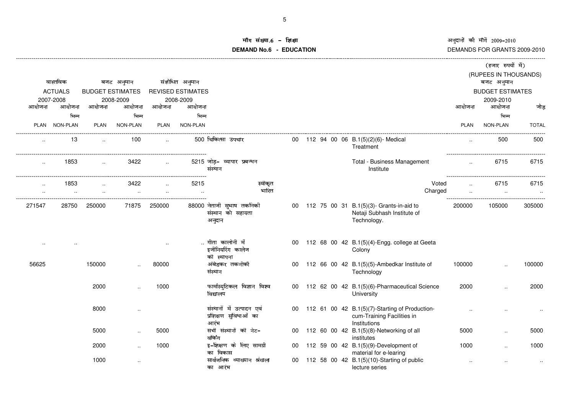# iॅग संख्या.6 -<br>NDNa & **DEMAND No.6 - EDUCATION**राक्षा स्वतं स्वतं स्वतं स्वतं स्वतं स्वतं स्वतं स्वतं स्वतं स्वतं स्वतं स्वतं स्वतं स्वतं स्वतं स्वतं स्वतं स

|        |                |                         |            |                      |                          |                                                            |  |  |                                                                                                 |         |                      | (हजार रुपयों में)                   |              |
|--------|----------------|-------------------------|------------|----------------------|--------------------------|------------------------------------------------------------|--|--|-------------------------------------------------------------------------------------------------|---------|----------------------|-------------------------------------|--------------|
|        | वास्तविक       |                         | बजट अनुमान |                      | संशोधित अनुमान           |                                                            |  |  |                                                                                                 |         |                      | (RUPEES IN THOUSANDS)<br>बजट अनुमान |              |
|        | <b>ACTUALS</b> | <b>BUDGET ESTIMATES</b> |            |                      | <b>REVISED ESTIMATES</b> |                                                            |  |  |                                                                                                 |         |                      | <b>BUDGET ESTIMATES</b>             |              |
|        | 2007-2008      |                         | 2008-2009  |                      | 2008-2009                |                                                            |  |  |                                                                                                 |         |                      | 2009-2010                           |              |
| आयोजना | आयोजना         | आयोजना                  | आयोजना     | आयोजना               | आयोजना                   |                                                            |  |  |                                                                                                 |         | आयोजना               | आयोजना                              | जोड़         |
|        | भिन्न          |                         | भिन्न      |                      | भिन्न                    |                                                            |  |  |                                                                                                 |         |                      | भिन्न                               |              |
|        | PLAN NON-PLAN  | <b>PLAN</b>             | NON-PLAN   | <b>PLAN</b>          | NON-PLAN                 |                                                            |  |  |                                                                                                 |         | <b>PLAN</b>          | NON-PLAN                            | <b>TOTAL</b> |
|        | 13             | $\sim$                  | 100        | $\ddot{\phantom{a}}$ |                          | 500 चिकित्सा उपचार                                         |  |  | 00 112 94 00 06 B.1(5)(2)(6)- Medical<br>Treatment                                              |         | $\ddot{\phantom{a}}$ | 500                                 | 500          |
|        | 1853           |                         | 3422       | $\ddotsc$            |                          | 5215 जोड़- व्यापार प्रबन्धन<br>संस्थान                     |  |  | Total - Business Management<br>Institute                                                        |         | $\sim$               | 6715                                | 6715         |
|        | 1853           |                         | 3422       |                      | 5215                     | स्वीकृत                                                    |  |  |                                                                                                 | Voted   |                      | 6715                                | 6715         |
|        |                |                         |            |                      | $\cdot$ .                | भारित                                                      |  |  |                                                                                                 | Charged |                      |                                     | $\sim$       |
| 271547 | 28750          | 250000                  | 71875      | 250000               |                          | 88000 नेताजी सुभाष तकनिकी<br>संस्थान को सहायता<br>अनुदान   |  |  | 00 112 75 00 31 B.1(5)(3)- Grants-in-aid to<br>Netaji Subhash Institute of<br>Technology.       |         | 200000               | 105000                              | 305000       |
|        |                |                         |            | $\sim$               |                          | गीता कालोनी में<br>इजीनियरिंग कालेज<br>की स्थापना          |  |  | 00 112 68 00 42 B.1(5)(4)-Engg. college at Geeta<br>Colony                                      |         |                      |                                     |              |
| 56625  |                | 150000                  |            | 80000                |                          | अंबेडकर तकनीकी<br>संस्थान                                  |  |  | 00 112 66 00 42 B.1(5)(5)-Ambedkar Institute of<br>Technology                                   |         | 100000               |                                     | 100000       |
|        |                | 2000                    |            | 1000                 |                          | फार्मास्युटिकल विज्ञान विश्व<br>विद्यालय                   |  |  | 00 112 62 00 42 B.1(5)(6)-Pharmaceutical Science<br>University                                  |         | 2000                 | $\ddot{\phantom{a}}$                | 2000         |
|        |                | 8000                    | $\ldots$   |                      |                          | संस्थानों में उत्पादन एवं<br>प्रशिक्षण सुविधाओं का<br>आरंभ |  |  | 00 112 61 00 42 B.1(5)(7)-Starting of Production-<br>cum-Training Facilities in<br>Institutions |         |                      |                                     |              |
|        |                | 5000                    | $\ldots$   | 5000                 |                          | सभी संस्थानों की नेट-<br>वकिंग                             |  |  | 00 112 60 00 42 B.1(5)(8)-Networking of all<br>institutes                                       |         | 5000                 |                                     | 5000         |
|        |                | 2000                    |            | 1000                 |                          | इ-शिक्षण के लिए सामग्री<br>का विकास                        |  |  | 00 112 59 00 42 B.1(5)(9)-Development of<br>material for e-learing                              |         | 1000                 | $\ddot{\phantom{a}}$                | 1000         |
|        |                | 1000                    | $\ldots$   |                      |                          | सार्वजनिक व्याख्यान श्रंखला<br>का आरंभ                     |  |  | 00 112 58 00 42 B.1(5)(10)-Starting of public<br>lecture series                                 |         | $\cdot$ .            | ٠.                                  |              |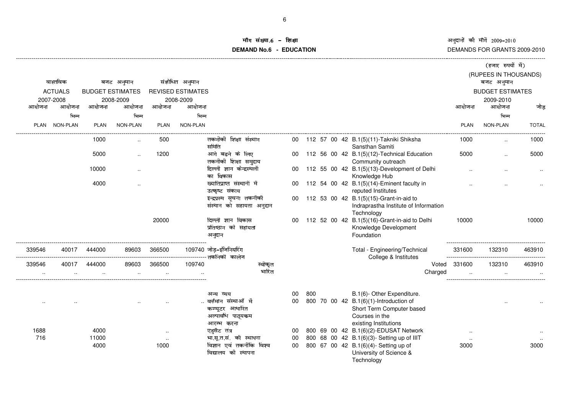#### iंग संख्या.6 -<br>'' **DEMAND No.6 - EDUCATION**, राक्षा कालोबा के लिए जिल्लाको समिति हो। यो प्रकाशित कालोबा के लिए जिल्लाको समिति हो। यो प्रकाशित क

|        |                 |             |                         |             |                          |                                                |    |     |  |                                                               |             | (हजार रुपयों में)       |              |
|--------|-----------------|-------------|-------------------------|-------------|--------------------------|------------------------------------------------|----|-----|--|---------------------------------------------------------------|-------------|-------------------------|--------------|
|        |                 |             |                         |             |                          |                                                |    |     |  |                                                               |             | (RUPEES IN THOUSANDS)   |              |
|        | वास्तविक        |             | बजट अनुमान              |             | संशोधित अनुमान           |                                                |    |     |  |                                                               |             | बजट अनुमान              |              |
|        | <b>ACTUALS</b>  |             | <b>BUDGET ESTIMATES</b> |             | <b>REVISED ESTIMATES</b> |                                                |    |     |  |                                                               |             | <b>BUDGET ESTIMATES</b> |              |
|        | 2007-2008       |             | 2008-2009               |             | 2008-2009                |                                                |    |     |  |                                                               |             | 2009-2010               |              |
| आयोजना | आयोजना          | आयोजना      | आयोजना                  | आयोजना      | आयोजना                   |                                                |    |     |  |                                                               | आयोजना      | आयोजना                  | जोड          |
|        | भिन्न           |             | भिन्न                   |             | भिन्न                    |                                                |    |     |  |                                                               |             | भिन्न                   |              |
| PLAN   | <b>NON-PLAN</b> | <b>PLAN</b> | NON-PLAN                | <b>PLAN</b> | <b>NON-PLAN</b>          |                                                |    |     |  |                                                               | <b>PLAN</b> | NON-PLAN                | <b>TOTAL</b> |
|        |                 | 1000        |                         | 500         |                          | तकनीकी शिक्षा संस्थान<br>समिति                 |    |     |  | 112 57 00 42 B.1(5)(11)-Takniki Shiksha<br>Sansthan Samiti    | 1000        |                         | 1000         |
|        |                 | 5000        |                         | 1200        |                          | आगे बढने के लिए                                |    |     |  | 112 56 00 42 B.1(5)(12)-Technical Education                   | 5000        |                         | 5000         |
|        |                 |             |                         |             |                          | तकनीकी शिक्षा समुदाय                           |    |     |  | Community outreach                                            |             |                         |              |
|        |                 | 10000       | $\ddot{\phantom{a}}$    |             |                          | दिल्ली ज्ञान केन्द्रस्थलों<br>का विकास         | 00 |     |  | 112 55 00 42 B.1(5)(13)-Development of Delhi<br>Knowledge Hub |             |                         |              |
|        |                 | 4000        |                         |             |                          | ख्यातिप्राप्त संस्थानों में                    | 00 |     |  | 112 54 00 42 B.1(5)(14)-Eminent faculty in                    |             |                         |              |
|        |                 |             |                         |             |                          | उत्कृष्ट संकाय                                 |    |     |  | reputed Institutes                                            |             |                         |              |
|        |                 |             |                         |             |                          | इन्द्रप्रस्थ सूचना तकनीकी                      | 00 |     |  | 112 53 00 42 B.1(5)(15)-Grant-in-aid to                       |             |                         |              |
|        |                 |             |                         |             |                          | संस्थान को सहायता अनुदान                       |    |     |  | Indraprastha Institute of Information                         |             |                         |              |
|        |                 |             |                         |             |                          |                                                |    |     |  | Technology                                                    |             |                         |              |
|        |                 |             |                         | 20000       |                          | दिल्ली ज्ञान विकास                             | 00 |     |  | 112 52 00 42 B.1(5)(16)-Grant-in-aid to Delhi                 | 10000       |                         | 10000        |
|        |                 |             |                         |             |                          | प्रतिष्ठान को सहायता                           |    |     |  | Knowledge Development                                         |             |                         |              |
|        |                 |             |                         |             |                          | अनुदान                                         |    |     |  | Foundation                                                    |             |                         |              |
| 339546 | 40017           | 444000      | 89603                   | 366500      |                          | 109740 जोड़-इंजिनियरिंग<br>----- तकनिकी  कालेज |    |     |  | Total - Engineering/Technical<br>College & Institutes         | 331600      | 132310                  | 463910       |
| 339546 | 40017           | 444000      | 89603                   | 366500      | 109740                   | स्वीकृत                                        |    |     |  | Voted                                                         | 331600      | 132310                  | 463910       |
|        |                 |             |                         |             |                          | भारित                                          |    |     |  | Charged                                                       |             |                         |              |
|        |                 |             |                         |             |                          |                                                |    |     |  |                                                               |             |                         |              |
|        |                 |             |                         |             |                          | अन्य व्यय                                      | 00 | 800 |  | B.1(6)- Other Expenditure.                                    |             |                         |              |
|        |                 |             |                         |             |                          | वर्त्तमान संस्थाओं में                         | 00 |     |  | 800 70 00 42 B.1(6)(1)-Introduction of                        |             |                         |              |
|        |                 |             |                         |             |                          | कम्प्यूटर आधारित                               |    |     |  | Short Term Computer based                                     |             |                         |              |
|        |                 |             |                         |             |                          | अल्पावधि पाठ्यकम                               |    |     |  | Courses in the                                                |             |                         |              |
|        |                 |             |                         |             |                          | आरम्भ करना                                     |    |     |  | existing Institutions                                         |             |                         |              |
| 1688   |                 | 4000        |                         | $\ldots$    |                          | एडुसैट तंत्र                                   | 00 |     |  | 800 69 00 42 B.1(6)(2)-EDUSAT Network                         | $\sim$      |                         |              |
| 716    |                 | 11000       |                         | $\ddotsc$   |                          | भा.सू.त.सं. की स्थापना                         | 00 |     |  | 800 68 00 42 B.1(6)(3)- Setting up of IIIT                    | $\sim$      |                         |              |
|        |                 | 4000        |                         | 1000        |                          | विज्ञान एवं तकनीकि विश्व                       | 00 |     |  | 800 67 00 42 B.1(6)(4)- Setting up of                         | 3000        |                         | 3000         |
|        |                 |             |                         |             |                          | विद्यालय की स्थापना                            |    |     |  | University of Science &                                       |             |                         |              |

**Technology**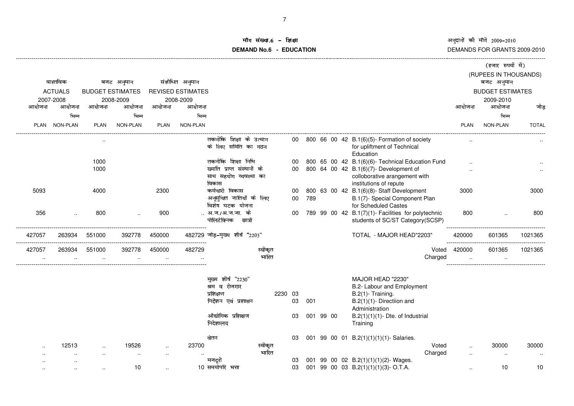## ॉग संख्या.6 - शि<br>'NDNa.C. FDI **DEMAND No.6 - EDUCATION**ा उपयोग को अनुसार को अन्तर को अन्तर को अन्तर को अन्तर को अन्तर को अन्तर को अन्तर को अन्तर को अन्तर को अन्तर को

|             |                      |                      |                         |             |                          |                                           |         |         |              |           |  |                                                                             |        |                      | (हजार रुपयों में)       |              |
|-------------|----------------------|----------------------|-------------------------|-------------|--------------------------|-------------------------------------------|---------|---------|--------------|-----------|--|-----------------------------------------------------------------------------|--------|----------------------|-------------------------|--------------|
|             |                      |                      |                         |             |                          |                                           |         |         |              |           |  |                                                                             |        |                      | (RUPEES IN THOUSANDS)   |              |
|             | वास्तविक             |                      | बजट अनुमान              |             | संशोधित अनुमान           |                                           |         |         |              |           |  |                                                                             |        |                      | बजट अनुमान              |              |
|             | <b>ACTUALS</b>       |                      | <b>BUDGET ESTIMATES</b> |             | <b>REVISED ESTIMATES</b> |                                           |         |         |              |           |  |                                                                             |        |                      | <b>BUDGET ESTIMATES</b> |              |
|             | 2007-2008            |                      | 2008-2009               |             | 2008-2009                |                                           |         |         |              |           |  |                                                                             |        |                      | 2009-2010               |              |
| आयोजना      | आयोजना               | आयोजना               | आयोजना                  | आयोजना      | आयोजना                   |                                           |         |         |              |           |  |                                                                             | आयोजना |                      | आयोजना                  | जोड          |
|             | भिन्न                |                      | भिन्न                   |             | भिन्न                    |                                           |         |         |              |           |  |                                                                             |        |                      | भिन्न                   |              |
| <b>PLAN</b> | <b>NON-PLAN</b>      | <b>PLAN</b>          | NON-PLAN                | <b>PLAN</b> | NON-PLAN                 |                                           |         |         |              |           |  |                                                                             |        | <b>PLAN</b>          | NON-PLAN                | <b>TOTAL</b> |
|             |                      |                      |                         |             |                          | तकनीकि शिक्षा के उत्थान                   |         |         | 00           |           |  | 800 66 00 42 B.1(6)(5)- Formation of society                                |        |                      |                         |              |
|             |                      |                      |                         |             |                          | के लिए समिति का गठन                       |         |         |              |           |  | for upliftment of Technical<br>Education                                    |        |                      |                         |              |
|             |                      | 1000                 |                         |             |                          | तकनीकि शिक्षा निधि                        |         |         | 00           |           |  | 800 65 00 42 B.1(6)(6)- Technical Education Fund                            |        |                      |                         |              |
|             |                      | 1000                 |                         |             |                          | ख्याति प्राप्त संस्थानों के               |         |         | 00           |           |  | 800 64 00 42 B.1(6)(7)- Development of                                      |        |                      |                         |              |
|             |                      |                      |                         |             |                          | साथ सहयोग व्यवस्था का                     |         |         |              |           |  | colloborative arangement with                                               |        |                      |                         |              |
|             |                      |                      |                         |             |                          | विकास                                     |         |         |              |           |  | institutions of repute                                                      |        |                      |                         |              |
| 5093        |                      | 4000                 |                         | 2300        |                          | कर्मचारी विकास<br>अनुसूचित जातियों के लिए |         |         | 00<br>$00\,$ | 789       |  | 800 63 00 42 B.1(6)(8)- Staff Development<br>B.1(7)- Special Component Plan |        | 3000                 |                         | 3000         |
|             |                      |                      |                         |             |                          | विशेष घटक योजना                           |         |         |              |           |  | for Scheduled Castes                                                        |        |                      |                         |              |
| 356         | $\ddot{\phantom{a}}$ | 800                  |                         | 900         |                          | अ.ज./अ.ज.जा. के                           |         |         | 00           |           |  | 789 99 00 42 B.1(7)(1)- Facilities for polytechnic                          |        | 800                  |                         | 800          |
|             |                      |                      |                         |             |                          | पोलिटेक्निक छात्रों                       |         |         |              |           |  | students of SC/ST Category(SCSP)                                            |        |                      |                         |              |
| 427057      | 263934               | 551000               | 392778                  | 450000      |                          | 482729 जोड़-मुख्य शीर्ष "2203"            |         |         |              |           |  | TOTAL - MAJOR HEAD"2203"                                                    | 420000 |                      | 601365                  | 1021365      |
| 427057      | 263934               | 551000               | 392778                  | 450000      | 482729                   |                                           | स्वीकृत |         |              |           |  | Voted                                                                       | 420000 |                      | 601365                  | 1021365      |
| $\cdot$ .   |                      | $\cdot$ .            | $\cdot$ .               | $\ddotsc$   |                          |                                           | भारित   |         |              |           |  | Charged                                                                     |        | $\ldots$             | $\cdot$ .               |              |
|             |                      |                      |                         |             |                          |                                           |         |         |              |           |  |                                                                             |        |                      |                         |              |
|             |                      |                      |                         |             |                          | मुख्य शीर्ष "2230"                        |         |         |              |           |  | MAJOR HEAD "2230"                                                           |        |                      |                         |              |
|             |                      |                      |                         |             |                          | श्रम व रोजगार<br>प्रशिक्षण                |         | 2230 03 |              |           |  | B.2- Labour and Employment<br>B.2(1)- Training.                             |        |                      |                         |              |
|             |                      |                      |                         |             |                          | निर्देशन एवं प्रशासन                      |         |         | 03           | 001       |  | $B.2(1)(1)$ - Directiion and                                                |        |                      |                         |              |
|             |                      |                      |                         |             |                          |                                           |         |         |              |           |  | Administration                                                              |        |                      |                         |              |
|             |                      |                      |                         |             |                          | औद्योगिक प्रशिक्षण                        |         |         | 03           | 001 99 00 |  | $B.2(1)(1)(1)$ - Dte. of Industrial                                         |        |                      |                         |              |
|             |                      |                      |                         |             |                          | निदेशालय                                  |         |         |              |           |  | Training                                                                    |        |                      |                         |              |
|             |                      |                      |                         |             |                          | वेतन                                      |         |         | 03           |           |  | 001 99 00 01 B.2(1)(1)(1)(1)-Salaries.                                      |        |                      |                         |              |
|             | 12513                | $\ddot{\phantom{a}}$ | 19526                   | $\ldots$    | 23700                    |                                           | स्वीकृत |         |              |           |  | Voted                                                                       |        | $\ddot{\phantom{a}}$ | 30000                   | 30000        |
|             |                      |                      |                         |             |                          |                                           | भारित   |         |              |           |  | Charged                                                                     |        | $\ddotsc$            |                         |              |
|             |                      |                      | 10                      |             |                          | मजदरी<br>10 समयोपरि भत्ता                 |         |         | 03<br>03     |           |  | 001 99 00 02 B.2(1)(1)(1)(2)- Wages.<br>001 99 00 03 B.2(1)(1)(1)(3)-O.T.A. |        |                      | 10                      | 10           |
|             |                      |                      |                         |             |                          |                                           |         |         |              |           |  |                                                                             |        |                      |                         |              |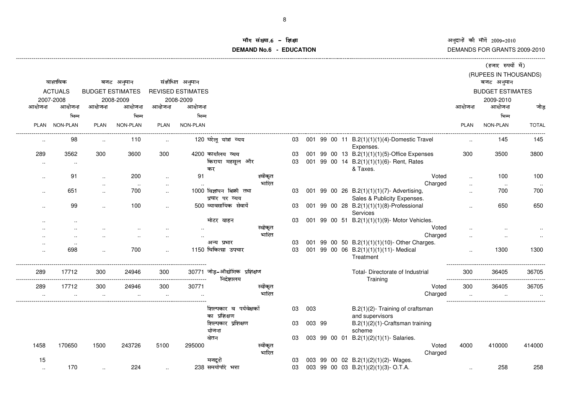### ॉग संख्या.6 -<br>\ND Na. C **DEMAND No.6 - EDUCATIONराक्षा स्वतं स्वतं स्वतं स्वतं स्वतं स्वतं स्वतं स्वतं स्वतं स्वतं स्वतं स्वतं स्वतं स्वतं स्वतं स्वतं स्वतं स**

|                            |                              |                         |            |                      |                          |                                             |                  |          |        |  |                                                                                                       |                      | (हजार रुपयों में)                   |              |
|----------------------------|------------------------------|-------------------------|------------|----------------------|--------------------------|---------------------------------------------|------------------|----------|--------|--|-------------------------------------------------------------------------------------------------------|----------------------|-------------------------------------|--------------|
|                            | वास्तविक                     |                         | बजट अनुमान |                      | संशोधित अनुमान           |                                             |                  |          |        |  |                                                                                                       |                      | (RUPEES IN THOUSANDS)<br>बजट अनुमान |              |
|                            | <b>ACTUALS</b>               | <b>BUDGET ESTIMATES</b> |            |                      | <b>REVISED ESTIMATES</b> |                                             |                  |          |        |  |                                                                                                       |                      | <b>BUDGET ESTIMATES</b>             |              |
|                            | 2007-2008                    |                         | 2008-2009  |                      | 2008-2009                |                                             |                  |          |        |  |                                                                                                       |                      | 2009-2010                           |              |
| आयोजना                     | आयोजना                       | आयोजना                  | आयोजना     | आयोजना               | आयोजना                   |                                             |                  |          |        |  |                                                                                                       | आयोजना               | आयोजना                              | जोड़         |
|                            | भिन्न                        |                         | भिन्न      |                      | भिन्न                    |                                             |                  |          |        |  |                                                                                                       |                      | भिन्न                               |              |
| <b>PLAN</b>                | NON-PLAN                     | <b>PLAN</b>             | NON-PLAN   | <b>PLAN</b>          | NON-PLAN                 |                                             |                  |          |        |  |                                                                                                       | <b>PLAN</b>          | NON-PLAN                            | <b>TOTAL</b> |
|                            | 98                           | $\ddot{\phantom{a}}$    | 110        | $\ddotsc$            |                          | 120 घरेलू यात्रा व्यय                       |                  | 03       |        |  | 001 99 00 11 B.2(1)(1)(1)(4)-Domestic Travel<br>Expenses.                                             | $\ddotsc$            | 145                                 | 145          |
| 289                        | 3562<br>$\ddot{\phantom{a}}$ | 300                     | 3600       | 300                  |                          | 4200 कार्यालय व्यय<br>किराया महसूल और<br>कर |                  | 03<br>03 |        |  | 001 99 00 13 B.2(1)(1)(1)(5)-Office Expenses<br>001 99 00 14 B.2(1)(1)(1)(6)- Rent, Rates<br>& Taxes. | 300                  | 3500                                | 3800         |
| $\ddot{\phantom{a}}$       | 91                           | $\ddot{\phantom{a}}$    | 200        |                      | 91                       |                                             | स्वीकृत          |          |        |  | Voted                                                                                                 |                      | 100                                 | 100          |
|                            |                              | $\ddot{\phantom{a}}$    | $\sim$     | $\ddot{\phantom{a}}$ |                          |                                             | भारित            |          |        |  | Charged                                                                                               | $\ddot{\phantom{a}}$ | $\sim$                              |              |
|                            | 651                          | $\ddot{\phantom{a}}$    | 700        | $\ddotsc$            |                          | 1000 विज्ञापन बिक्री तथा                    |                  | 03       |        |  | 001 99 00 26 B.2(1)(1)(1)(7)- Advertising,                                                            | ٠.                   | 700                                 | 700          |
|                            |                              |                         |            |                      |                          | प्रचार पर व्यय                              |                  |          |        |  | Sales & Publicity Expenses.                                                                           |                      |                                     |              |
|                            | 99                           | $\ddot{\phantom{a}}$    | 100        | $\ddot{\phantom{a}}$ |                          | 500 व्यावसायिक सेवायें                      |                  | 03       |        |  | 001 99 00 28 B.2(1)(1)(1)(8)-Professional<br>Services                                                 | $\ddot{\phantom{a}}$ | 650                                 | 650          |
|                            |                              |                         |            |                      |                          | मोटर वाहन                                   |                  | 03       |        |  | 001 99 00 51 B.2(1)(1)(1)(9)- Motor Vehicles.<br>Voted                                                |                      |                                     |              |
|                            |                              |                         |            |                      |                          |                                             | स्वीकृत<br>भारित |          |        |  | Charged                                                                                               |                      |                                     |              |
|                            | $\cdot$                      |                         |            |                      |                          | अन्य प्रभार                                 |                  | 03       |        |  | 001 99 00 50 B.2(1)(1)(1)(10)- Other Charges.                                                         |                      |                                     |              |
|                            | 698                          |                         | 700        |                      |                          | 1150 चिकित्सा उपचार                         |                  | 03       |        |  | 001 99 00 06 B.2(1)(1)(1)(11)- Medical<br>Treatment                                                   |                      | 1300                                | 1300         |
| 289                        | 17712                        | 300                     | 24946      | 300                  |                          | 30771 जोड़-औद्योगिक प्रशिक्षण<br>निदेशालय   |                  |          |        |  | Total- Directorate of Industrial<br>Training                                                          | 300                  | 36405                               | 36705        |
| 289                        | 17712                        | 300                     | 24946      | 300                  | 30771                    |                                             | स्वीकृत          |          |        |  | Voted                                                                                                 | 300                  | 36405                               | 36705        |
|                            |                              |                         |            |                      |                          |                                             | भारित            |          |        |  | Charged                                                                                               |                      |                                     |              |
|                            |                              |                         |            |                      |                          | शिल्पकार व पर्यवेक्षकों<br>का प्रशिक्षण     |                  | 03       | 003    |  | B.2(1)(2)- Training of craftsman                                                                      |                      |                                     |              |
|                            |                              |                         |            |                      |                          | शिल्पकार प्रशिक्षण                          |                  | 03       | 003 99 |  | and supervisors<br>B.2(1)(2)(1)-Craftsman training                                                    |                      |                                     |              |
|                            |                              |                         |            |                      |                          | योजना                                       |                  |          |        |  | scheme                                                                                                |                      |                                     |              |
|                            |                              |                         |            |                      |                          | वेतन                                        |                  | 03       |        |  | 003 99 00 01 B.2(1)(2)(1)(1)-Salaries.                                                                |                      |                                     |              |
| 1458                       | 170650                       | 1500                    | 243726     | 5100                 | 295000                   |                                             | स्वीकृत          |          |        |  | Voted                                                                                                 | 4000                 | 410000                              | 414000       |
|                            |                              |                         |            |                      |                          |                                             | भारित            |          |        |  | Charged                                                                                               |                      |                                     |              |
| 15<br>$\ddot{\phantom{a}}$ | 170                          |                         | 224        |                      |                          | मजदरी<br>238 समयोपरि भत्ता                  |                  | 03<br>03 |        |  | 003 99 00 02 B.2(1)(2)(1)(2)-Wages.<br>003 99 00 03 B.2(1)(2)(1)(3)-O.T.A.                            |                      | 258                                 | 258          |
|                            |                              |                         |            |                      |                          |                                             |                  |          |        |  |                                                                                                       | $\ddot{\phantom{a}}$ |                                     |              |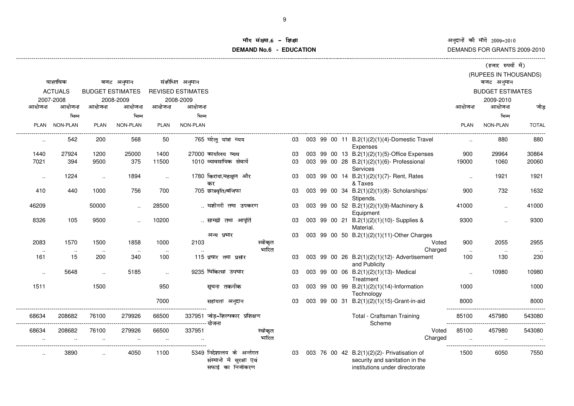अनुदानों की माँगें 2009–2010<br>DEMANDS FOR GRANTS 2009-2010  $\vec{\mathfrak{n}}$  2009–2010

ý við verið verið verið verið verið verið verið verið verið verið verið verið verið verið verið verið verið ve

#### iंग संख्या.6 -<br>WDNa **DEMAND No.6 - EDUCATIONछोड़ा संस्कृतिका संस्कृतिका संस्कृतिका संस्कृतिका संस्कृतिका संस्कृतिका संस्कृतिका संस्कृतिका अ**

|               |                |                         |                      |           |                          |                                                                         |                  |  |  |                                                                                                                 |                      | (हजार रुपया म)                      |                  |
|---------------|----------------|-------------------------|----------------------|-----------|--------------------------|-------------------------------------------------------------------------|------------------|--|--|-----------------------------------------------------------------------------------------------------------------|----------------------|-------------------------------------|------------------|
|               | वास्तविक       |                         | बजट अनुमान           |           | संशोधित अनुमान           |                                                                         |                  |  |  |                                                                                                                 |                      | (RUPEES IN THOUSANDS)<br>बजट अनुमान |                  |
|               |                |                         |                      |           |                          |                                                                         |                  |  |  |                                                                                                                 |                      |                                     |                  |
|               | <b>ACTUALS</b> | <b>BUDGET ESTIMATES</b> |                      |           | <b>REVISED ESTIMATES</b> |                                                                         |                  |  |  |                                                                                                                 |                      | <b>BUDGET ESTIMATES</b>             |                  |
|               | 2007-2008      |                         | 2008-2009            |           | 2008-2009                |                                                                         |                  |  |  |                                                                                                                 |                      | 2009-2010                           |                  |
| आयोजना        | आयोजना         | आयोजना                  | आयोजना               | आयोजना    | आयोजना                   |                                                                         |                  |  |  |                                                                                                                 | आयोजना               | आयोजना                              | जोड़             |
|               | भिन्न          |                         | भिन्न                |           | भिन्न                    |                                                                         |                  |  |  |                                                                                                                 |                      | भिन्न                               |                  |
| PLAN          | NON-PLAN       | PLAN                    | NON-PLAN             | PLAN      | NON-PLAN                 |                                                                         |                  |  |  |                                                                                                                 | <b>PLAN</b>          | NON-PLAN                            | <b>TOTAL</b>     |
| $\sim$ $\sim$ | 542            | 200                     | 568                  | 50        |                          | 765 घरेलू यात्रा व्यय                                                   | 03               |  |  | 003 99 00 11 B.2(1)(2)(1)(4)-Domestic Travel<br>Expenses                                                        | $\ddot{\phantom{a}}$ | 880                                 | 880              |
| 1440          | 27924          | 1200                    | 25000                | 1400      |                          | 27000 कार्यालय व्यय                                                     | 03               |  |  | 003 99 00 13 B.2(1)(2)(1)(5)-Office Expenses                                                                    | 900                  | 29964                               | 30864            |
| 7021          | 394            | 9500                    | 375                  | 11500     |                          | 1010 व्यावसायिक सेवायें                                                 | 03               |  |  | 003 99 00 28 B.2(1)(2)(1)(6)- Professional<br>Services                                                          | 19000                | 1060                                | 20060            |
| $\sim$        | 1224           | $\cdot$ .               | 1894                 | $\sim$    |                          | 1780 किराया,महसूल और<br>कर                                              | 03               |  |  | 003 99 00 14 B.2(1)(2)(1)(7)- Rent, Rates<br>& Taxes                                                            | $\sim$               | 1921                                | 1921             |
| 410           | 440            | 1000                    | 756                  | 700       |                          | 705 छात्रवृति/बजिफा                                                     | 03               |  |  | 003 99 00 34 B.2(1)(2)(1)(8)- Scholarships/<br>Stipends.                                                        | 900                  | 732                                 | 1632             |
| 46209         |                | 50000                   | $\ddot{\phantom{a}}$ | 28500     |                          | मशीनरी तथा उपकरण                                                        | 03               |  |  | 003 99 00 52 B.2(1)(2)(1)(9)-Machinery &<br>Equipment                                                           | 41000                | $\ddotsc$                           | 41000            |
| 8326          | 105            | 9500                    |                      | 10200     |                          | सामग्री तथा आपूर्ति                                                     | 03               |  |  | 003 99 00 21 B.2(1)(2)(1)(10)- Supplies &<br>Material.                                                          | 9300                 |                                     | 9300             |
|               |                |                         |                      |           |                          | अन्य प्रभार                                                             | 03               |  |  | 003 99 00 50 B.2(1)(2)(1)(11)-Other Charges                                                                     |                      |                                     |                  |
| 2083          | 1570           | 1500                    | 1858                 | 1000      | 2103                     |                                                                         | स्वीकृत          |  |  | Voted                                                                                                           | 900                  | 2055                                | 2955             |
| $\sim$        | $\cdots$       | $\cdots$                |                      | .         |                          |                                                                         | भारित            |  |  | Charged                                                                                                         | $\ldots$             | $\sim$                              | $\sim$ 100 $\mu$ |
| 161           | 15             | 200                     | 340                  | 100       |                          | 115 प्रचार तथा प्रसार                                                   | 03               |  |  | 003 99 00 26 B.2(1)(2)(1)(12)- Advertisement<br>and Publicity                                                   | 100                  | 130                                 | 230              |
| $\sim$        | 5648           |                         | 5185                 | $\ddotsc$ |                          | 9235 चिकित्सा उपचार                                                     | 03               |  |  | 003 99 00 06 B.2(1)(2)(1)(13)- Medical<br>Treatment                                                             | $\ddotsc$            | 10980                               | 10980            |
| 1511          |                | 1500                    |                      | 950       |                          | सूचना तकनीक                                                             | 03               |  |  | 003 99 00 99 B.2(1)(2)(1)(14)-Information<br>Technology                                                         | 1000                 |                                     | 1000             |
|               |                |                         |                      | 7000      |                          | सहायता अनुदान                                                           | 03               |  |  | 003 99 00 31 B.2(1)(2)(1)(15)-Grant-in-aid                                                                      | 8000                 |                                     | 8000             |
| 68634         | 208682         | 76100                   | 279926               | 66500     |                          | 337951 जोड़-शिल्पकार प्रशिक्षण                                          |                  |  |  | Total - Craftsman Training<br>Scheme                                                                            | 85100                | 457980                              | 543080           |
| 68634         | 208682         | 76100                   | 279926               | 66500     | 337951                   |                                                                         | स्वीकृत<br>भारित |  |  | Voted                                                                                                           | 85100                | 457980                              | 543080           |
|               |                |                         |                      |           |                          |                                                                         |                  |  |  | Charged                                                                                                         |                      |                                     |                  |
| $\ddotsc$     | 3890           |                         | 4050                 | 1100      |                          | 5349 निदेशालय के अर्न्तगत<br>संस्थानो मे सुरक्षा एवं<br>सफाई का निजीकरण | 03               |  |  | 003 76 00 42 B.2(1)(2)(2)- Privatisation of<br>security and sanitation in the<br>institutions under directorate | 1500                 | 6050                                | 7550             |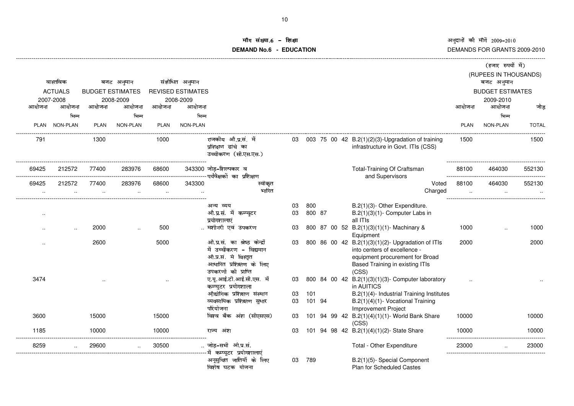# ॉग संख्या.6 -<br>WDNa.C **DEMAND No.6 - EDUCATIONराक्षा संस्कृतिका संस्कृतिका संस्कृतिका संस्कृतिका संस्कृतिका संस्कृतिका संस्कृतिका संस्कृतिका अ**

|                      |                 |                         |                 |             |                          |                                                                                                                                     |    |        |  |                                                                                                                                                                  |         |             | (हजार रुपयों में)                   |              |
|----------------------|-----------------|-------------------------|-----------------|-------------|--------------------------|-------------------------------------------------------------------------------------------------------------------------------------|----|--------|--|------------------------------------------------------------------------------------------------------------------------------------------------------------------|---------|-------------|-------------------------------------|--------------|
|                      | वास्तविक        |                         | बजट अनुमान      |             | संशोधित अनुमान           |                                                                                                                                     |    |        |  |                                                                                                                                                                  |         |             | (RUPEES IN THOUSANDS)<br>बजट अनुमान |              |
|                      | <b>ACTUALS</b>  | <b>BUDGET ESTIMATES</b> |                 |             | <b>REVISED ESTIMATES</b> |                                                                                                                                     |    |        |  |                                                                                                                                                                  |         |             | <b>BUDGET ESTIMATES</b>             |              |
|                      | 2007-2008       |                         | 2008-2009       |             | 2008-2009                |                                                                                                                                     |    |        |  |                                                                                                                                                                  |         |             | 2009-2010                           |              |
| आयोजना               | आयोजना          | आयोजना                  | आयोजना          | आयोजना      | आयोजना                   |                                                                                                                                     |    |        |  |                                                                                                                                                                  |         | आयोजना      | आयोजना                              | जोड़         |
|                      | भिन्न           |                         | भिन्न           |             | भिन्न                    |                                                                                                                                     |    |        |  |                                                                                                                                                                  |         |             | भिन्न                               |              |
| <b>PLAN</b>          | <b>NON-PLAN</b> | <b>PLAN</b>             | <b>NON-PLAN</b> | <b>PLAN</b> | NON-PLAN                 |                                                                                                                                     |    |        |  |                                                                                                                                                                  |         | <b>PLAN</b> | <b>NON-PLAN</b>                     | <b>TOTAL</b> |
| 791                  |                 | 1300                    |                 | 1000        |                          | राजकीय औ.प्र.सं. में<br>प्रशिक्षण ढांचे का<br>उच्चीकरण (सी.एस.एस.)                                                                  |    |        |  | 03 003 75 00 42 B.2(1)(2)(3)-Upgradation of training<br>infrastructure in Govt. ITIs (CSS)                                                                       |         | 1500        |                                     | 1500         |
| 69425                | 212572          | 77400                   | 283976          | 68600       |                          | 343300 जोड़-शिल्पकार व                                                                                                              |    |        |  | Total-Training Of Craftsman                                                                                                                                      |         | 88100       | 464030                              | 552130       |
| 69425                | 212572          | 77400                   | 283976          | 68600       | 343300                   | स्वीकृत                                                                                                                             |    |        |  | and Supervisors                                                                                                                                                  | Voted   | 88100       | 464030                              | 552130       |
|                      |                 |                         |                 |             |                          | भारित                                                                                                                               |    |        |  |                                                                                                                                                                  | Charged |             |                                     |              |
|                      |                 |                         |                 |             |                          | अन्य व्यय                                                                                                                           | 03 | 800    |  | B.2(1)(3)- Other Expenditure.                                                                                                                                    |         |             |                                     |              |
| $\ddot{\phantom{a}}$ |                 |                         |                 |             |                          | औ.प्र.सं. में कम्प्यूटर<br>प्रयोगशालाएं                                                                                             | 03 | 800 87 |  | $B.2(1)(3)(1)$ - Computer Labs in<br>all ITIs                                                                                                                    |         |             |                                     |              |
|                      |                 | 2000                    |                 | 500         |                          | मशीनरी एवं उपकरण                                                                                                                    | 03 |        |  | 800 87 00 52 B.2(1)(3)(1)(1)- Machinary &<br>Equipment                                                                                                           |         | 1000        |                                     | 1000         |
|                      |                 | 2600                    |                 | 5000        |                          | औ.प्र.सं. का श्रेष्ठ केन्द्रों<br>में उच्चीकरण - विद्यमान<br>औ.प्र.सं. मे विस्तृत<br>आधारित प्रशिक्षण के लिए<br>उपकरणों की प्राप्ति | 03 |        |  | 800 86 00 42 B.2(1)(3)(1)(2)- Upgradation of ITIs<br>into centers of excellence -<br>equipment procurement for Broad<br>Based Training in existing ITIs<br>(CSS) |         | 2000        |                                     | 2000         |
| 3474                 |                 | $\ddot{\phantom{a}}$    |                 |             |                          | ए.यू.आई.टी.आई.सी.एस. में<br>कम्प्युटर प्रयोगशाला                                                                                    | 03 |        |  | 800 84 00 42 B.2(1)(3)(1)(3)- Computer laboratory<br>in AUITICS                                                                                                  |         |             |                                     |              |
|                      |                 |                         |                 |             |                          | औद्योगिक प्रशिक्षण संस्थान                                                                                                          | 03 | 101    |  | B.2(1)(4)- Industrial Training Institutes                                                                                                                        |         |             |                                     |              |
|                      |                 |                         |                 |             |                          | व्यवसायिक प्रशिक्षण सुधार                                                                                                           | 03 | 101 94 |  | B.2(1)(4)(1)- Vocational Training                                                                                                                                |         |             |                                     |              |
| 3600                 |                 | 15000                   |                 | 15000       |                          | परियोजना<br>विश्व बैंक अंश (सीएसएस)                                                                                                 | 03 |        |  | Improvement Project<br>101 94 99 42 B.2(1)(4)(1)(1)- World Bank Share<br>(CSS)                                                                                   |         | 10000       |                                     | 10000        |
| 1185                 |                 | 10000                   |                 | 10000       |                          | राज्य अंश                                                                                                                           | 03 |        |  | 101 94 98 42 B.2(1)(4)(1)(2)- State Share                                                                                                                        |         | 10000       |                                     | 10000        |
| 8259                 |                 | 29600                   |                 | 30500       |                          | जोड़-सभी ओ.प्र.सं.                                                                                                                  |    |        |  | Total - Other Expenditure                                                                                                                                        |         | 23000       |                                     | 23000        |
|                      |                 |                         |                 |             |                          | अनूसुचित जातियों के लिए<br>विशेष घटक योजना                                                                                          | 03 | 789    |  | B.2(1)(5)- Special Component<br><b>Plan for Scheduled Castes</b>                                                                                                 |         |             |                                     |              |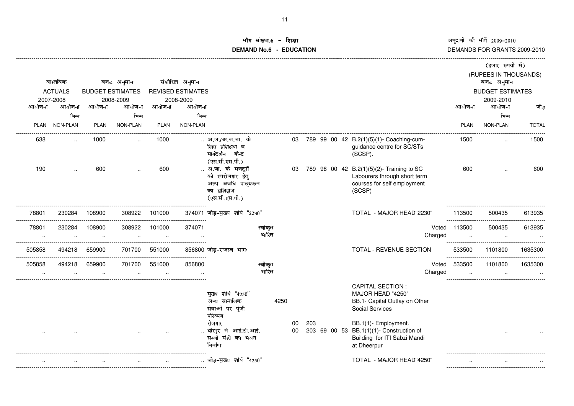### ॉग संख्या.6 – इि<br>'''''''''' **DEMAND No.6 - EDUCATIONशक्षा संस्कृतिका संस्कृतिका संस्कृतिका संस्कृतिका संस्कृतिका संस्कृतिका संस्कृतिका संस्कृतिका संस्कृति**

|                     |                |        |                         |             |                          |                                                                                                                                    |                  |                  |     |  |                                                                                                                                                                                                                            |                            | (हजार रुपयों में)                   |              |
|---------------------|----------------|--------|-------------------------|-------------|--------------------------|------------------------------------------------------------------------------------------------------------------------------------|------------------|------------------|-----|--|----------------------------------------------------------------------------------------------------------------------------------------------------------------------------------------------------------------------------|----------------------------|-------------------------------------|--------------|
|                     | वास्तविक       |        | बजट अनुमान              |             | संशोधित अनुमान           |                                                                                                                                    |                  |                  |     |  |                                                                                                                                                                                                                            |                            | (RUPEES IN THOUSANDS)<br>बजट अनुमान |              |
|                     | <b>ACTUALS</b> |        | <b>BUDGET ESTIMATES</b> |             | <b>REVISED ESTIMATES</b> |                                                                                                                                    |                  |                  |     |  |                                                                                                                                                                                                                            |                            | <b>BUDGET ESTIMATES</b>             |              |
|                     | 2007-2008      |        | 2008-2009               |             | 2008-2009                |                                                                                                                                    |                  |                  |     |  |                                                                                                                                                                                                                            |                            | 2009-2010                           |              |
| आयोजना              | आयोजना         | आयोजना | आयोजना                  | आयोजना      | आयोजना                   |                                                                                                                                    |                  |                  |     |  |                                                                                                                                                                                                                            | आयोजना                     | आयोजना                              | जोड़         |
|                     | भिन्न          |        | भिन्न                   |             | भिन्न                    |                                                                                                                                    |                  |                  |     |  |                                                                                                                                                                                                                            |                            | भिन्न                               |              |
|                     | PLAN NON-PLAN  | PLAN   | <b>NON-PLAN</b>         | <b>PLAN</b> | NON-PLAN                 |                                                                                                                                    |                  |                  |     |  |                                                                                                                                                                                                                            | PLAN                       | NON-PLAN                            | <b>TOTAL</b> |
| 638                 |                | 1000   |                         | 1000        |                          | अ.ज./अ.ज.जा. के<br>लिए प्रशिक्षण व<br>मार्गदर्शन केन्द्र<br>(एस.सी.एस.पी.)                                                         |                  | 03               |     |  | 789 99 00 42 B.2(1)(5)(1)- Coaching-cum-<br>guidance centre for SC/STs<br>(SCSP).                                                                                                                                          | 1500                       |                                     | 1500         |
| 190                 |                | 600    |                         | 600         |                          | अ.जा. के मजदूरों<br>को स्वरोजगार हेतु<br>अल्प अवधि पाठ्यकम<br>का प्रशिक्षण<br>(एस.सी.एस.पी.)                                       |                  | 03               |     |  | 789 98 00 42 B.2(1)(5)(2)- Training to SC<br>Labourers through short term<br>courses for self employment<br>(SCSP)                                                                                                         | 600                        |                                     | 600          |
| 78801               | 230284         | 108900 | 308922                  | 101000      |                          | 374071 जोड़-मुख्य शीर्ष "2230"                                                                                                     |                  |                  |     |  | TOTAL - MAJOR HEAD"2230"                                                                                                                                                                                                   | 113500                     | 500435                              | 613935       |
| 78801               | 230284         | 108900 | 308922                  | 101000      | 374071                   |                                                                                                                                    | स्वीकृत<br>भारित |                  |     |  | Charged                                                                                                                                                                                                                    | Voted 113500               | 500435                              | 613935       |
| 505858              | 494218         | 659900 | 701700                  | 551000      |                          | 856800 जोड–राजस्व भागः                                                                                                             |                  |                  |     |  | TOTAL - REVENUE SECTION                                                                                                                                                                                                    | 533500<br>---------------- | 1101800                             | 1635300      |
| 505858<br>$\cdot$ . | 494218         | 659900 | 701700                  | 551000      | 856800                   |                                                                                                                                    | स्वीकृत<br>भारित |                  |     |  | Charged                                                                                                                                                                                                                    | Voted 533500               | 1101800                             | 1635300      |
|                     |                |        |                         |             |                          | मुख्य शीर्ष "4250"<br>अन्य सामाजिक<br>सेवाओं पर पूंजी<br>परिव्यय<br>रोजगार<br>घीरपुर में आई.टी.आई.<br>सब्जी मंडी का भवन<br>निर्माण |                  | 4250<br>00<br>00 | 203 |  | <b>CAPITAL SECTION:</b><br>MAJOR HEAD "4250"<br>BB.1- Capital Outlay on Other<br><b>Social Services</b><br>BB.1(1)- Employment.<br>203 69 00 53 BB.1(1)(1)- Construction of<br>Building for ITI Sabzi Mandi<br>at Dheerpur |                            |                                     |              |
|                     |                |        |                         |             |                          | जोड़-मुख्य शीर्ष "4250"                                                                                                            |                  |                  |     |  | TOTAL - MAJOR HEAD"4250"                                                                                                                                                                                                   |                            |                                     |              |
|                     |                |        |                         |             |                          |                                                                                                                                    |                  |                  |     |  |                                                                                                                                                                                                                            |                            |                                     |              |